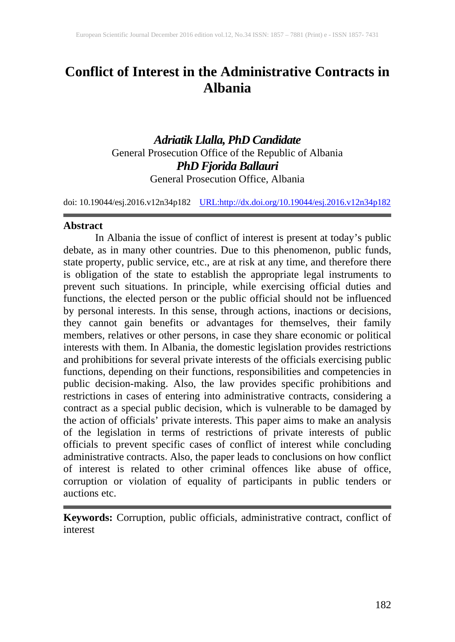# **Conflict of Interest in the Administrative Contracts in Albania**

# *Adriatik Llalla, PhD Candidate* General Prosecution Office of the Republic of Albania *PhD Fjorida Ballauri* General Prosecution Office, Albania

doi: 10.19044/esj.2016.v12n34p182 [URL:http://dx.doi.org/10.19044/esj.2016.v12n34p182](http://dx.doi.org/10.19044/esj.2016.v12n34p182)

#### **Abstract**

In Albania the issue of conflict of interest is present at today's public debate, as in many other countries. Due to this phenomenon, public funds, state property, public service, etc., are at risk at any time, and therefore there is obligation of the state to establish the appropriate legal instruments to prevent such situations. In principle, while exercising official duties and functions, the elected person or the public official should not be influenced by personal interests. In this sense, through actions, inactions or decisions, they cannot gain benefits or advantages for themselves, their family members, relatives or other persons, in case they share economic or political interests with them. In Albania, the domestic legislation provides restrictions and prohibitions for several private interests of the officials exercising public functions, depending on their functions, responsibilities and competencies in public decision-making. Also, the law provides specific prohibitions and restrictions in cases of entering into administrative contracts, considering a contract as a special public decision, which is vulnerable to be damaged by the action of officials' private interests. This paper aims to make an analysis of the legislation in terms of restrictions of private interests of public officials to prevent specific cases of conflict of interest while concluding administrative contracts. Also, the paper leads to conclusions on how conflict of interest is related to other criminal offences like abuse of office, corruption or violation of equality of participants in public tenders or auctions etc.

**Keywords:** Corruption, public officials, administrative contract, conflict of interest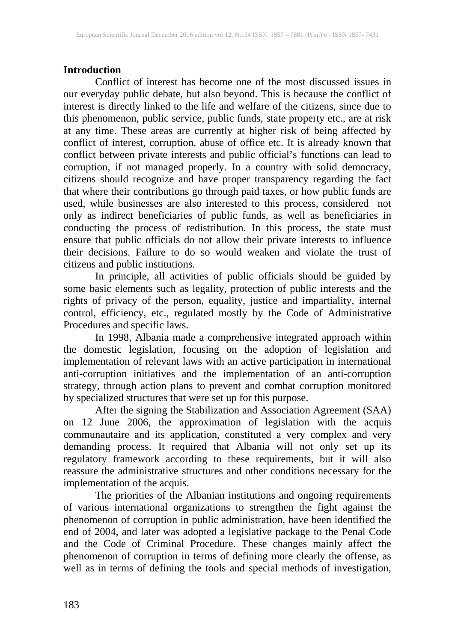# **Introduction**

Conflict of interest has become one of the most discussed issues in<br>our everyday public debate, but also beyond. This is because the conflict of our everyday public debate, but also beyond. This is because the conflict of interest is directly linked to the life and welfare of the citizens, since due to this phenomenon, public service, public funds, state property etc., are at risk at any time. These areas are currently at higher risk of being affected by conflict of interest, corruption, abuse of office etc. It is already known that conflict between private interests and public official's functions can lead to corruption, if not managed properly. In a country with solid democracy, citizens should recognize and have proper transparency regarding the fact that where their contributions go through paid taxes, or how public funds are used, while businesses are also interested to this process, considered not only as indirect beneficiaries of public funds, as well as beneficiaries in conducting the process of redistribution. In this process, the state must ensure that public officials do not allow their private interests to influence their decisions. Failure to do so would weaken and violate the trust of citizens and public institutions.

In principle, all activities of public officials should be guided by some basic elements such as legality, protection of public interests and the rights of privacy of the person, equality, justice and impartiality, internal control, efficiency, etc., regulated mostly by the Code of Administrative Procedures and specific laws.

In 1998, Albania made a comprehensive integrated approach within the domestic legislation, focusing on the adoption of legislation and implementation of relevant laws with an active participation in international anti-corruption initiatives and the implementation of an anti-corruption strategy, through action plans to prevent and combat corruption monitored by specialized structures that were set up for this purpose.

After the signing the Stabilization and Association Agreement (SAA) on 12 June 2006, the approximation of legislation with the acquis communautaire and its application, constituted a very complex and very demanding process. It required that Albania will not only set up its regulatory framework according to these requirements, but it will also reassure the administrative structures and other conditions necessary for the implementation of the acquis.

The priorities of the Albanian institutions and ongoing requirements of various international organizations to strengthen the fight against the phenomenon of corruption in public administration, have been identified the end of 2004, and later was adopted a legislative package to the Penal Code and the Code of Criminal Procedure. These changes mainly affect the phenomenon of corruption in terms of defining more clearly the offense, as well as in terms of defining the tools and special methods of investigation,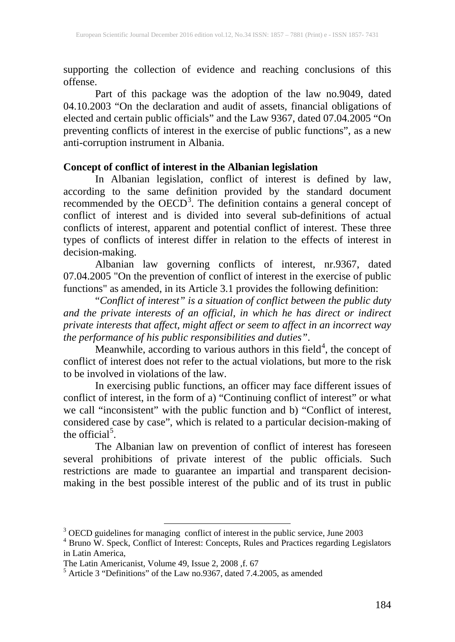supporting the collection of evidence and reaching conclusions of this offense.

Part of this package was the adoption of the law no.9049, dated 04.10.2003 "On the declaration and audit of assets, financial obligations of elected and certain public officials" and the Law 9367, dated 07.04.2005 "On preventing conflicts of interest in the exercise of public functions", as a new anti-corruption instrument in Albania.

# **Concept of conflict of interest in the Albanian legislation**

In Albanian legislation, conflict of interest is defined by law, according to the same definition provided by the standard document recommended by the OECD<sup>[3](#page--1-0)</sup>. The definition contains a general concept of conflict of interest and is divided into several sub-definitions of actual conflicts of interest, apparent and potential conflict of interest. These three types of conflicts of interest differ in relation to the effects of interest in decision-making.

Albanian law governing conflicts of interest, nr.9367, dated 07.04.2005 "On the prevention of conflict of interest in the exercise of public functions" as amended, in its Article 3.1 provides the following definition:

"*Conflict of interest" is a situation of conflict between the public duty and the private interests of an official, in which he has direct or indirect private interests that affect, might affect or seem to affect in an incorrect way the performance of his public responsibilities and duties"*.

Meanwhile, according to various authors in this field $4$ , the concept of conflict of interest does not refer to the actual violations, but more to the risk to be involved in violations of the law.

In exercising public functions, an officer may face different issues of conflict of interest, in the form of a) "Continuing conflict of interest" or what we call "inconsistent" with the public function and b) "Conflict of interest, considered case by case", which is related to a particular decision-making of the official<sup>[5](#page-2-1)</sup>.

The Albanian law on prevention of conflict of interest has foreseen several prohibitions of private interest of the public officials. Such restrictions are made to guarantee an impartial and transparent decisionmaking in the best possible interest of the public and of its trust in public

<span id="page-2-0"></span>

 $3$  OECD guidelines for managing conflict of interest in the public service, June 2003  $4$  Bruno W. Speck, Conflict of Interest: Concepts, Rules and Practices regarding Legislators in Latin America,<br>The Latin Americanist, Volume 49, Issue 2, 2008, f. 67

<span id="page-2-2"></span><span id="page-2-1"></span> $5$  Article 3 "Definitions" of the Law no.9367, dated 7.4.2005, as amended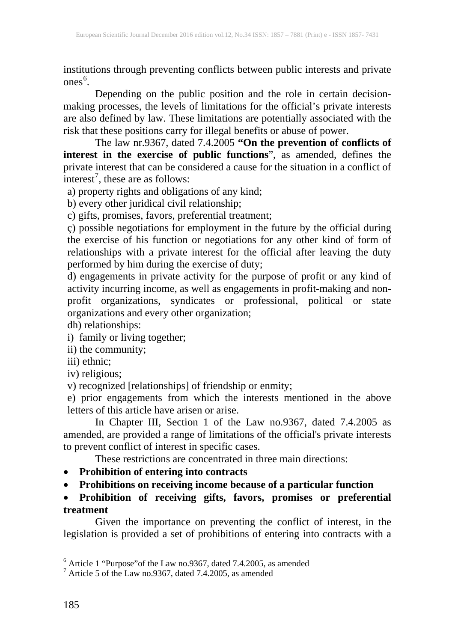institutions through preventing conflicts between public interests and private ones [6](#page-2-2) .

Depending on the public position and the role in certain decisionmaking processes, the levels of limitations for the official's private interests are also defined by law. These limitations are potentially associated with the risk that these positions carry for illegal benefits or abuse of power.

The law nr.9367, dated 7.4.2005 **"On the prevention of conflicts of interest in the exercise of public functions**", as amended, defines the private interest that can be considered a cause for the situation in a conflict of interest<sup>[7](#page-3-0)</sup>, these are as follows:

a) property rights and obligations of any kind;

b) every other juridical civil relationship;

c) gifts, promises, favors, preferential treatment;

ç) possible negotiations for employment in the future by the official during the exercise of his function or negotiations for any other kind of form of relationships with a private interest for the official after leaving the duty performed by him during the exercise of duty;

d) engagements in private activity for the purpose of profit or any kind of activity incurring income, as well as engagements in profit-making and nonprofit organizations, syndicates or professional, political or state organizations and every other organization;

dh) relationships:

i) family or living together;

ii) the community;

iii) ethnic;

iv) religious;

v) recognized [relationships] of friendship or enmity;

e) prior engagements from which the interests mentioned in the above letters of this article have arisen or arise.

In Chapter III, Section 1 of the Law no.9367, dated 7.4.2005 as amended, are provided a range of limitations of the official's private interests to prevent conflict of interest in specific cases.

These restrictions are concentrated in three main directions:

• **Prohibition of entering into contracts**

• **Prohibitions on receiving income because of a particular function**

• **Prohibition of receiving gifts, favors, promises or preferential treatment**

<span id="page-3-1"></span>Given the importance on preventing the conflict of interest, in the legislation is provided a set of prohibitions of entering into contracts with a

<span id="page-3-0"></span>

<sup>&</sup>lt;sup>6</sup> Article 1 "Purpose" of the Law no.9367, dated 7.4.2005, as amended  $\frac{7}{7}$  Article 5 of the Law no.9367, dated 7.4.2005, as amended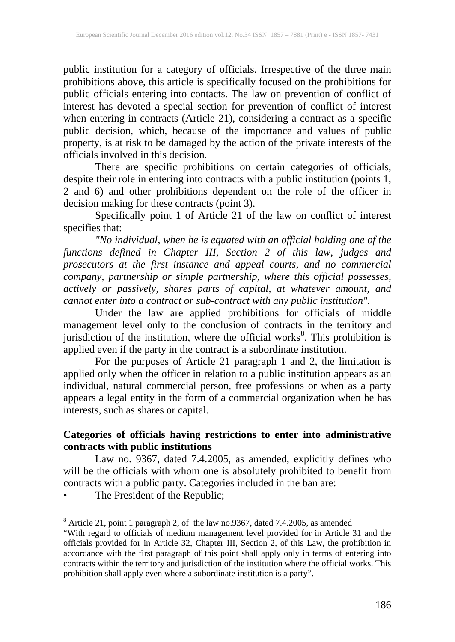public institution for a category of officials. Irrespective of the three main prohibitions above, this article is specifically focused on the prohibitions for public officials entering into contacts. The law on prevention of conflict of interest has devoted a special section for prevention of conflict of interest when entering in contracts (Article 21), considering a contract as a specific public decision, which, because of the importance and values of public property, is at risk to be damaged by the action of the private interests of the officials involved in this decision.

There are specific prohibitions on certain categories of officials, despite their role in entering into contracts with a public institution (points 1, 2 and 6) and other prohibitions dependent on the role of the officer in decision making for these contracts (point 3).

Specifically point 1 of Article 21 of the law on conflict of interest specifies that:

*"No individual, when he is equated with an official holding one of the functions defined in Chapter III, Section 2 of this law, judges and prosecutors at the first instance and appeal courts, and no commercial company, partnership or simple partnership, where this official possesses, actively or passively, shares parts of capital, at whatever amount, and cannot enter into a contract or sub-contract with any public institution".*

Under the law are applied prohibitions for officials of middle management level only to the conclusion of contracts in the territory and jurisdiction of the institution, where the official works<sup>[8](#page-3-1)</sup>. This prohibition is applied even if the party in the contract is a subordinate institution.

For the purposes of Article 21 paragraph 1 and 2, the limitation is applied only when the officer in relation to a public institution appears as an individual, natural commercial person, free professions or when as a party appears a legal entity in the form of a commercial organization when he has interests, such as shares or capital.

## **Categories of officials having restrictions to enter into administrative contracts with public institutions**

Law no. 9367, dated 7.4.2005, as amended, explicitly defines who will be the officials with whom one is absolutely prohibited to benefit from contracts with a public party. Categories included in the ban are:

The President of the Republic;

 $8$  Article 21, point 1 paragraph 2, of the law no.9367, dated 7.4.2005, as amended

<span id="page-4-0"></span><sup>&</sup>quot;With regard to officials of medium management level provided for in Article 31 and the officials provided for in Article 32, Chapter III, Section 2, of this Law, the prohibition in accordance with the first paragraph of this point shall apply only in terms of entering into contracts within the territory and jurisdiction of the institution where the official works. This prohibition shall apply even where a subordinate institution is a party".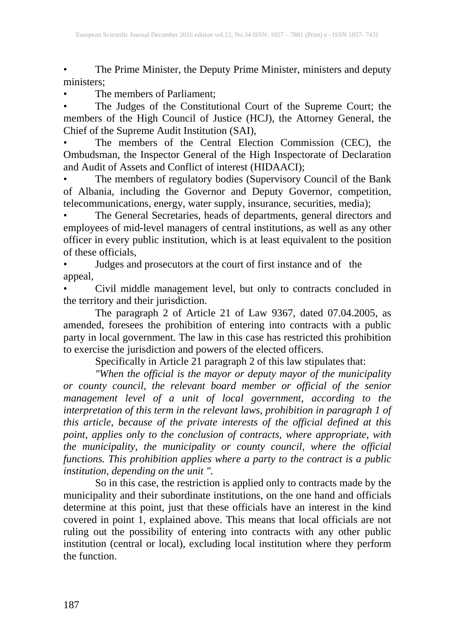The Prime Minister, the Deputy Prime Minister, ministers and deputy ministers;

The members of Parliament:

• The Judges of the Constitutional Court of the Supreme Court; the members of the High Council of Justice (HCJ), the Attorney General, the Chief of the Supreme Audit Institution (SAI),

The members of the Central Election Commission (CEC), the Ombudsman, the Inspector General of the High Inspectorate of Declaration and Audit of Assets and Conflict of interest (HIDAACI);

The members of regulatory bodies (Supervisory Council of the Bank of Albania, including the Governor and Deputy Governor, competition, telecommunications, energy, water supply, insurance, securities, media);

• The General Secretaries, heads of departments, general directors and employees of mid-level managers of central institutions, as well as any other officer in every public institution, which is at least equivalent to the position of these officials,

• Judges and prosecutors at the court of first instance and of the appeal,

• Civil middle management level, but only to contracts concluded in the territory and their jurisdiction.

The paragraph 2 of Article 21 of Law 9367, dated 07.04.2005, as amended, foresees the prohibition of entering into contracts with a public party in local government. The law in this case has restricted this prohibition to exercise the jurisdiction and powers of the elected officers.

Specifically in Article 21 paragraph 2 of this law stipulates that:

*"When the official is the mayor or deputy mayor of the municipality or county council, the relevant board member or official of the senior management level of a unit of local government, according to the interpretation of this term in the relevant laws, prohibition in paragraph 1 of this article, because of the private interests of the official defined at this point, applies only to the conclusion of contracts, where appropriate, with the municipality, the municipality or county council, where the official functions. This prohibition applies where a party to the contract is a public institution, depending on the unit ".* 

So in this case, the restriction is applied only to contracts made by the municipality and their subordinate institutions, on the one hand and officials determine at this point, just that these officials have an interest in the kind covered in point 1, explained above. This means that local officials are not ruling out the possibility of entering into contracts with any other public institution (central or local), excluding local institution where they perform the function.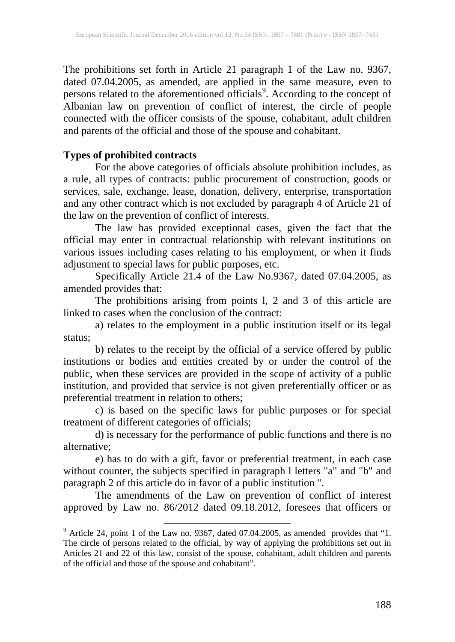The prohibitions set forth in Article 21 paragraph 1 of the Law no. 9367, dated 07.04.2005, as amended, are applied in the same measure, even to persons related to the aforementioned officials<sup>[9](#page-4-0)</sup>. According to the concept of Albanian law on prevention of conflict of interest, the circle of people connected with the officer consists of the spouse, cohabitant, adult children and parents of the official and those of the spouse and cohabitant.

## **Types of prohibited contracts**

For the above categories of officials absolute prohibition includes, as a rule, all types of contracts: public procurement of construction, goods or services, sale, exchange, lease, donation, delivery, enterprise, transportation and any other contract which is not excluded by paragraph 4 of Article 21 of the law on the prevention of conflict of interests.

The law has provided exceptional cases, given the fact that the official may enter in contractual relationship with relevant institutions on various issues including cases relating to his employment, or when it finds adjustment to special laws for public purposes, etc.

Specifically Article 21.4 of the Law No.9367, dated 07.04.2005, as amended provides that:

The prohibitions arising from points l, 2 and 3 of this article are linked to cases when the conclusion of the contract:

a) relates to the employment in a public institution itself or its legal status;

b) relates to the receipt by the official of a service offered by public institutions or bodies and entities created by or under the control of the public, when these services are provided in the scope of activity of a public institution, and provided that service is not given preferentially officer or as preferential treatment in relation to others;

c) is based on the specific laws for public purposes or for special treatment of different categories of officials;

d) is necessary for the performance of public functions and there is no alternative;

e) has to do with a gift, favor or preferential treatment, in each case without counter, the subjects specified in paragraph l letters "a" and "b" and paragraph 2 of this article do in favor of a public institution ".

The amendments of the Law on prevention of conflict of interest approved by Law no. 86/2012 dated 09.18.2012, foresees that officers or

<span id="page-6-0"></span><sup>&</sup>lt;sup>9</sup> Article 24, point 1 of the Law no. 9367, dated 07.04.2005, as amended provides that "1. The circle of persons related to the official, by way of applying the prohibitions set out in Articles 21 and 22 of this law, consist of the spouse, cohabitant, adult children and parents of the official and those of the spouse and cohabitant".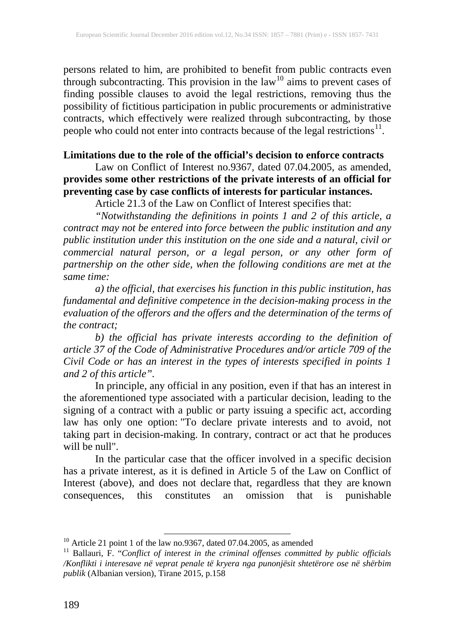persons related to him, are prohibited to benefit from public contracts even through subcontracting. This provision in the law<sup>[10](#page-6-0)</sup> aims to prevent cases of finding possible clauses to avoid the legal restrictions, removing thus the possibility of fictitious participation in public procurements or administrative contracts, which effectively were realized through subcontracting, by those people who could not enter into contracts because of the legal restrictions $11$ .

## **Limitations due to the role of the official's decision to enforce contracts**

Law on Conflict of Interest no.9367, dated 07.04.2005, as amended, **provides some other restrictions of the private interests of an official for preventing case by case conflicts of interests for particular instances.**

Article 21.3 of the Law on Conflict of Interest specifies that:

*"Notwithstanding the definitions in points 1 and 2 of this article, a contract may not be entered into force between the public institution and any public institution under this institution on the one side and a natural, civil or commercial natural person, or a legal person, or any other form of partnership on the other side, when the following conditions are met at the same time:*

*a) the official, that exercises his function in this public institution, has fundamental and definitive competence in the decision-making process in the evaluation of the offerors and the offers and the determination of the terms of the contract;*

*b) the official has private interests according to the definition of article 37 of the Code of Administrative Procedures and/or article 709 of the Civil Code or has an interest in the types of interests specified in points 1 and 2 of this article".*

In principle, any official in any position, even if that has an interest in the aforementioned type associated with a particular decision, leading to the signing of a contract with a public or party issuing a specific act, according law has only one option: "To declare private interests and to avoid, not taking part in decision-making. In contrary, contract or act that he produces will be null".

In the particular case that the officer involved in a specific decision has a private interest, as it is defined in Article 5 of the Law on Conflict of Interest (above), and does not declare that, regardless that they are known consequences, this constitutes an omission that is punishable

<span id="page-7-1"></span><span id="page-7-0"></span><sup>&</sup>lt;sup>10</sup> Article 21 point 1 of the law no.9367, dated 07.04.2005, as amended<br><sup>11</sup> Ballauri, F. "*Conflict of interest in the criminal offenses committed by public officials /Konflikti i interesave në veprat penale të kryera nga punonjësit shtetërore ose në shërbim publik* (Albanian version), Tirane 2015, p.158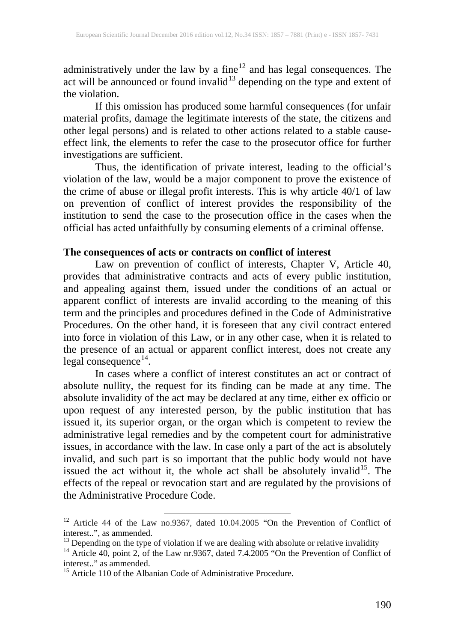administratively under the law by a fine $12$  and has legal consequences. The act will be announced or found invalid<sup>[13](#page-8-0)</sup> depending on the type and extent of the violation.

If this omission has produced some harmful consequences (for unfair material profits, damage the legitimate interests of the state, the citizens and other legal persons) and is related to other actions related to a stable causeeffect link, the elements to refer the case to the prosecutor office for further investigations are sufficient.

Thus, the identification of private interest, leading to the official's violation of the law, would be a major component to prove the existence of the crime of abuse or illegal profit interests. This is why article 40/1 of law on prevention of conflict of interest provides the responsibility of the institution to send the case to the prosecution office in the cases when the official has acted unfaithfully by consuming elements of a criminal offense.

#### **The consequences of acts or contracts on conflict of interest**

Law on prevention of conflict of interests, Chapter V, Article 40, provides that administrative contracts and acts of every public institution, and appealing against them, issued under the conditions of an actual or apparent conflict of interests are invalid according to the meaning of this term and the principles and procedures defined in the Code of Administrative Procedures. On the other hand, it is foreseen that any civil contract entered into force in violation of this Law, or in any other case, when it is related to the presence of an actual or apparent conflict interest, does not create any legal consequence $^{14}$  $^{14}$  $^{14}$ .

In cases where a conflict of interest constitutes an act or contract of absolute nullity, the request for its finding can be made at any time. The absolute invalidity of the act may be declared at any time, either ex officio or upon request of any interested person, by the public institution that has issued it, its superior organ, or the organ which is competent to review the administrative legal remedies and by the competent court for administrative issues, in accordance with the law. In case only a part of the act is absolutely invalid, and such part is so important that the public body would not have issued the act without it, the whole act shall be absolutely invalid<sup>[15](#page-8-2)</sup>. The effects of the repeal or revocation start and are regulated by the provisions of the Administrative Procedure Code.

<sup>&</sup>lt;sup>12</sup> Article 44 of the Law no.9367, dated 10.04.2005 "On the Prevention of Conflict of interest..", as ammended.

<span id="page-8-1"></span>

<span id="page-8-0"></span><sup>&</sup>lt;sup>13</sup> Depending on the type of violation if we are dealing with absolute or relative invalidity <sup>14</sup> Article 40, point 2, of the Law nr.9367, dated 7.4.2005 "On the Prevention of Conflict of interest.." as ammended.

<span id="page-8-2"></span> $15$  Article 110 of the Albanian Code of Administrative Procedure.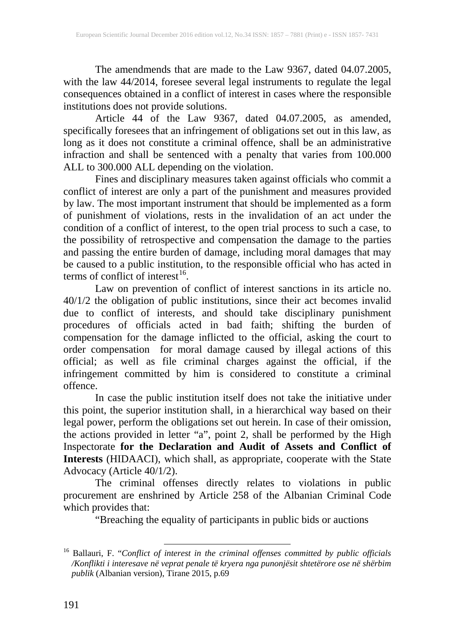The amendmends that are made to the Law 9367, dated 04.07.2005, with the law 44/2014, foresee several legal instruments to regulate the legal consequences obtained in a conflict of interest in cases where the responsible institutions does not provide solutions.

Article 44 of the Law 9367, dated 04.07.2005, as amended, specifically foresees that an infringement of obligations set out in this law, as long as it does not constitute a criminal offence, shall be an administrative infraction and shall be sentenced with a penalty that varies from 100.000 ALL to 300.000 ALL depending on the violation.

Fines and disciplinary measures taken against officials who commit a conflict of interest are only a part of the punishment and measures provided by law. The most important instrument that should be implemented as a form of punishment of violations, rests in the invalidation of an act under the condition of a conflict of interest, to the open trial process to such a case, to the possibility of retrospective and compensation the damage to the parties and passing the entire burden of damage, including moral damages that may be caused to a public institution, to the responsible official who has acted in terms of conflict of interest $^{16}$  $^{16}$  $^{16}$ .

Law on prevention of conflict of interest sanctions in its article no. 40/1/2 the obligation of public institutions, since their act becomes invalid due to conflict of interests, and should take disciplinary punishment procedures of officials acted in bad faith; shifting the burden of compensation for the damage inflicted to the official, asking the court to order compensation for moral damage caused by illegal actions of this official; as well as file criminal charges against the official, if the infringement committed by him is considered to constitute a criminal offence.

In case the public institution itself does not take the initiative under this point, the superior institution shall, in a hierarchical way based on their legal power, perform the obligations set out herein. In case of their omission, the actions provided in letter "a", point 2, shall be performed by the High Inspectorate **for the Declaration and Audit of Assets and Conflict of Interests** (HIDAACI), which shall, as appropriate, cooperate with the State Advocacy (Article 40/1/2).

The criminal offenses directly relates to violations in public procurement are enshrined by Article 258 of the Albanian Criminal Code which provides that:

"Breaching the equality of participants in public bids or auctions

<span id="page-9-0"></span><sup>16</sup> Ballauri, F. "*Conflict of interest in the criminal offenses committed by public officials /Konflikti i interesave në veprat penale të kryera nga punonjësit shtetërore ose në shërbim publik* (Albanian version), Tirane 2015, p.69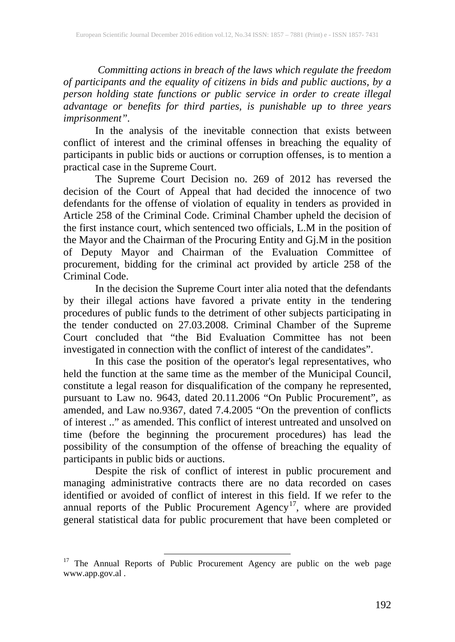*Committing actions in breach of the laws which regulate the freedom of participants and the equality of citizens in bids and public auctions, by a person holding state functions or public service in order to create illegal advantage or benefits for third parties, is punishable up to three years imprisonment".*

In the analysis of the inevitable connection that exists between conflict of interest and the criminal offenses in breaching the equality of participants in public bids or auctions or corruption offenses, is to mention a practical case in the Supreme Court.

The Supreme Court Decision no. 269 of 2012 has reversed the decision of the Court of Appeal that had decided the innocence of two defendants for the offense of violation of equality in tenders as provided in Article 258 of the Criminal Code. Criminal Chamber upheld the decision of the first instance court, which sentenced two officials, L.M in the position of the Mayor and the Chairman of the Procuring Entity and Gj.M in the position of Deputy Mayor and Chairman of the Evaluation Committee of procurement, bidding for the criminal act provided by article 258 of the Criminal Code.

In the decision the Supreme Court inter alia noted that the defendants by their illegal actions have favored a private entity in the tendering procedures of public funds to the detriment of other subjects participating in the tender conducted on 27.03.2008. Criminal Chamber of the Supreme Court concluded that "the Bid Evaluation Committee has not been investigated in connection with the conflict of interest of the candidates".

In this case the position of the operator's legal representatives, who held the function at the same time as the member of the Municipal Council, constitute a legal reason for disqualification of the company he represented, pursuant to Law no. 9643, dated 20.11.2006 "On Public Procurement", as amended, and Law no.9367, dated 7.4.2005 "On the prevention of conflicts of interest .." as amended. This conflict of interest untreated and unsolved on time (before the beginning the procurement procedures) has lead the possibility of the consumption of the offense of breaching the equality of participants in public bids or auctions.

Despite the risk of conflict of interest in public procurement and managing administrative contracts there are no data recorded on cases identified or avoided of conflict of interest in this field. If we refer to the annual reports of the Public Procurement Agency<sup>[17](#page-9-0)</sup>, where are provided general statistical data for public procurement that have been completed or

<sup>&</sup>lt;sup>17</sup> The Annual Reports of Public Procurement Agency are public on the web page www.app.gov.al .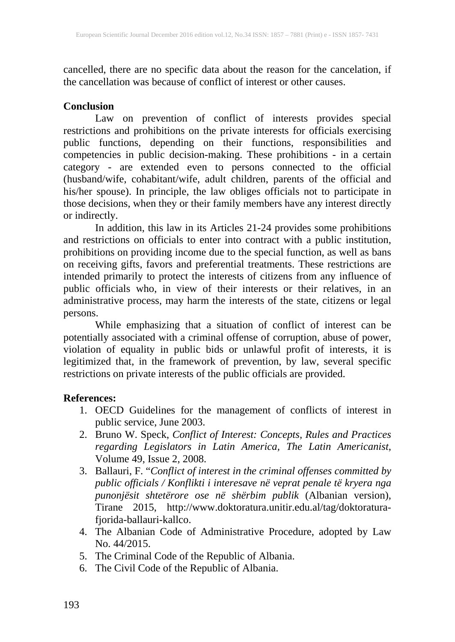cancelled, there are no specific data about the reason for the cancelation, if the cancellation was because of conflict of interest or other causes.

#### **Conclusion**

Law on prevention of conflict of interests provides special restrictions and prohibitions on the private interests for officials exercising public functions, depending on their functions, responsibilities and competencies in public decision-making. These prohibitions - in a certain category - are extended even to persons connected to the official (husband/wife, cohabitant/wife, adult children, parents of the official and his/her spouse). In principle, the law obliges officials not to participate in those decisions, when they or their family members have any interest directly or indirectly.

In addition, this law in its Articles 21-24 provides some prohibitions and restrictions on officials to enter into contract with a public institution, prohibitions on providing income due to the special function, as well as bans on receiving gifts, favors and preferential treatments. These restrictions are intended primarily to protect the interests of citizens from any influence of public officials who, in view of their interests or their relatives, in an administrative process, may harm the interests of the state, citizens or legal persons.

While emphasizing that a situation of conflict of interest can be potentially associated with a criminal offense of corruption, abuse of power, violation of equality in public bids or unlawful profit of interests, it is legitimized that, in the framework of prevention, by law, several specific restrictions on private interests of the public officials are provided.

# **References:**

- 1. OECD Guidelines for the management of conflicts of interest in public service, June 2003.
- 2. Bruno W. Speck, *Conflict of Interest: Concepts, Rules and Practices regarding Legislators in Latin America, The Latin Americanist*, Volume 49, Issue 2, 2008.
- 3. Ballauri, F. "*Conflict of interest in the criminal offenses committed by public officials / Konflikti i interesave në veprat penale të kryera nga punonjësit shtetërore ose në shërbim publik* (Albanian version), Tirane 2015, http://www.doktoratura.unitir.edu.al/tag/doktoraturafjorida-ballauri-kallco.
- 4. The Albanian Code of Administrative Procedure, adopted by Law No. 44/2015.
- 5. The Criminal Code of the Republic of Albania.
- 6. The Civil Code of the Republic of Albania.